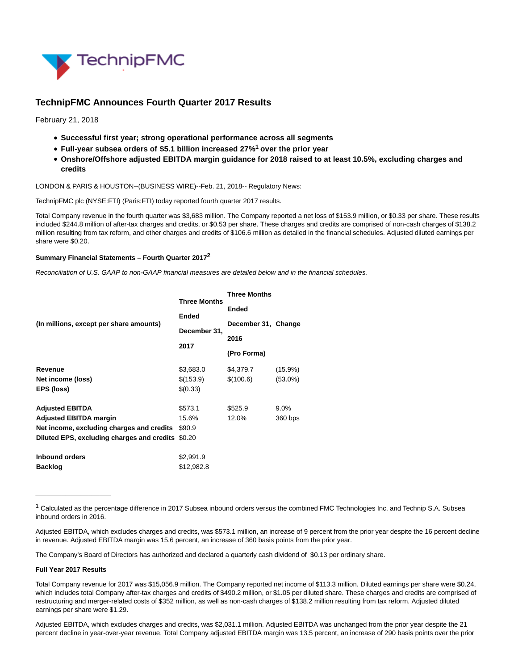

# **TechnipFMC Announces Fourth Quarter 2017 Results**

February 21, 2018

- **Successful first year; strong operational performance across all segments**
- **Full-year subsea orders of \$5.1 billion increased 27%1 over the prior year**
- **Onshore/Offshore adjusted EBITDA margin guidance for 2018 raised to at least 10.5%, excluding charges and credits**

LONDON & PARIS & HOUSTON--(BUSINESS WIRE)--Feb. 21, 2018-- Regulatory News:

TechnipFMC plc (NYSE:FTI) (Paris:FTI) today reported fourth quarter 2017 results.

Total Company revenue in the fourth quarter was \$3,683 million. The Company reported a net loss of \$153.9 million, or \$0.33 per share. These results included \$244.8 million of after-tax charges and credits, or \$0.53 per share. These charges and credits are comprised of non-cash charges of \$138.2 million resulting from tax reform, and other charges and credits of \$106.6 million as detailed in the financial schedules. Adjusted diluted earnings per share were \$0.20.

#### **Summary Financial Statements – Fourth Quarter 20172**

Reconciliation of U.S. GAAP to non-GAAP financial measures are detailed below and in the financial schedules.

|                                                   | <b>Three Months</b> | <b>Three Months</b> |            |
|---------------------------------------------------|---------------------|---------------------|------------|
|                                                   |                     | <b>Ended</b>        |            |
| (In millions, except per share amounts)           | Ended               | December 31, Change |            |
|                                                   | December 31,        |                     |            |
|                                                   | 2017                | 2016                |            |
|                                                   |                     | (Pro Forma)         |            |
| Revenue                                           | \$3,683.0           | \$4,379.7           | $(15.9\%)$ |
| Net income (loss)                                 | \$(153.9)           | \$(100.6)           | $(53.0\%)$ |
| EPS (loss)                                        | \$(0.33)            |                     |            |
| <b>Adjusted EBITDA</b>                            | \$573.1             | \$525.9             | $9.0\%$    |
| <b>Adjusted EBITDA margin</b>                     | 15.6%               | 12.0%               | 360 bps    |
| Net income, excluding charges and credits         | \$90.9              |                     |            |
| Diluted EPS, excluding charges and credits \$0.20 |                     |                     |            |
| <b>Inbound orders</b>                             | \$2,991.9           |                     |            |
| <b>Backlog</b>                                    | \$12,982.8          |                     |            |

 $1$  Calculated as the percentage difference in 2017 Subsea inbound orders versus the combined FMC Technologies Inc. and Technip S.A. Subsea inbound orders in 2016.

Adjusted EBITDA, which excludes charges and credits, was \$573.1 million, an increase of 9 percent from the prior year despite the 16 percent decline in revenue. Adjusted EBITDA margin was 15.6 percent, an increase of 360 basis points from the prior year.

The Company's Board of Directors has authorized and declared a quarterly cash dividend of \$0.13 per ordinary share.

#### **Full Year 2017 Results**

 $\frac{1}{2}$  ,  $\frac{1}{2}$  ,  $\frac{1}{2}$  ,  $\frac{1}{2}$  ,  $\frac{1}{2}$  ,  $\frac{1}{2}$  ,  $\frac{1}{2}$  ,  $\frac{1}{2}$  ,  $\frac{1}{2}$  ,  $\frac{1}{2}$  ,  $\frac{1}{2}$  ,  $\frac{1}{2}$  ,  $\frac{1}{2}$  ,  $\frac{1}{2}$  ,  $\frac{1}{2}$  ,  $\frac{1}{2}$  ,  $\frac{1}{2}$  ,  $\frac{1}{2}$  ,  $\frac{1$ 

Total Company revenue for 2017 was \$15,056.9 million. The Company reported net income of \$113.3 million. Diluted earnings per share were \$0.24, which includes total Company after-tax charges and credits of \$490.2 million, or \$1.05 per diluted share. These charges and credits are comprised of restructuring and merger-related costs of \$352 million, as well as non-cash charges of \$138.2 million resulting from tax reform. Adjusted diluted earnings per share were \$1.29.

Adjusted EBITDA, which excludes charges and credits, was \$2,031.1 million. Adjusted EBITDA was unchanged from the prior year despite the 21 percent decline in year-over-year revenue. Total Company adjusted EBITDA margin was 13.5 percent, an increase of 290 basis points over the prior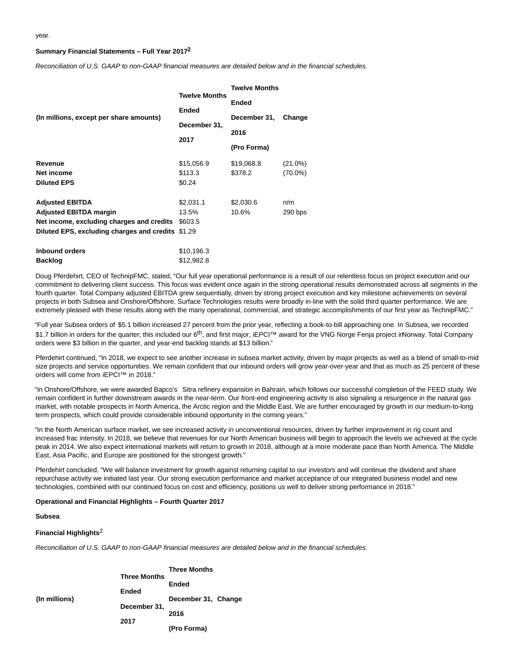#### **Summary Financial Statements – Full Year 20172**

Reconciliation of U.S. GAAP to non-GAAP financial measures are detailed below and in the financial schedules.

|                                            |                      | <b>Twelve Months</b> |            |  |  |
|--------------------------------------------|----------------------|----------------------|------------|--|--|
|                                            | <b>Twelve Months</b> | <b>Ended</b>         |            |  |  |
|                                            | <b>Ended</b>         |                      |            |  |  |
| (In millions, except per share amounts)    | December 31,         | December 31,         | Change     |  |  |
|                                            |                      | 2016<br>(Pro Forma)  |            |  |  |
|                                            | 2017                 |                      |            |  |  |
| Revenue                                    | \$15,056.9           | \$19,068.8           | $(21.0\%)$ |  |  |
| Net income                                 | \$113.3              | \$378.2              | $(70.0\%)$ |  |  |
| <b>Diluted EPS</b>                         | \$0.24               |                      |            |  |  |
| <b>Adjusted EBITDA</b>                     | \$2,031.1            | \$2,030.6            | n/m        |  |  |
| <b>Adjusted EBITDA margin</b>              | 13.5%                | 10.6%                | 290 bps    |  |  |
| Net income, excluding charges and credits  | \$603.5              |                      |            |  |  |
| Diluted EPS, excluding charges and credits | \$1.29               |                      |            |  |  |
| Inbound orders                             | \$10,196.3           |                      |            |  |  |
| <b>Backlog</b>                             | \$12,982.8           |                      |            |  |  |

Doug Pferdehirt, CEO of TechnipFMC, stated, "Our full year operational performance is a result of our relentless focus on project execution and our commitment to delivering client success. This focus was evident once again in the strong operational results demonstrated across all segments in the fourth quarter. Total Company adjusted EBITDA grew sequentially, driven by strong project execution and key milestone achievements on several projects in both Subsea and Onshore/Offshore. Surface Technologies results were broadly in-line with the solid third quarter performance. We are extremely pleased with these results along with the many operational, commercial, and strategic accomplishments of our first year as TechnipFMC."

"Full year Subsea orders of \$5.1 billion increased 27 percent from the prior year, reflecting a book-to-bill approaching one. In Subsea, we recorded \$1.7 billion in orders for the quarter; this included our 6<sup>th</sup>, and first major, iEPCI™ award for the VNG Norge Fenja project in Norway. Total Company orders were \$3 billion in the quarter, and year-end backlog stands at \$13 billion."

Pferdehirt continued, "In 2018, we expect to see another increase in subsea market activity, driven by major projects as well as a blend of small-to-mid size projects and service opportunities. We remain confident that our inbound orders will grow year-over-year and that as much as 25 percent of these orders will come from iEPCI™ in 2018."

"In Onshore/Offshore, we were awarded Bapco's Sitra refinery expansion in Bahrain, which follows our successful completion of the FEED study. We remain confident in further downstream awards in the near-term. Our front-end engineering activity is also signaling a resurgence in the natural gas market, with notable prospects in North America, the Arctic region and the Middle East. We are further encouraged by growth in our medium-to-long term prospects, which could provide considerable inbound opportunity in the coming years."

"In the North American surface market, we see increased activity in unconventional resources, driven by further improvement in rig count and increased frac intensity. In 2018, we believe that revenues for our North American business will begin to approach the levels we achieved at the cycle peak in 2014. We also expect international markets will return to growth in 2018, although at a more moderate pace than North America. The Middle East, Asia Pacific, and Europe are positioned for the strongest growth."

Pferdehirt concluded, "We will balance investment for growth against returning capital to our investors and will continue the dividend and share repurchase activity we initiated last year. Our strong execution performance and market acceptance of our integrated business model and new technologies, combined with our continued focus on cost and efficiency, positions us well to deliver strong performance in 2018."

#### **Operational and Financial Highlights – Fourth Quarter 2017**

#### **Subsea**

#### **Financial Highlights**2

Reconciliation of U.S. GAAP to non-GAAP financial measures are detailed below and in the financial schedules.

| (In millions) |                              | <b>Three Months</b> |  |  |
|---------------|------------------------------|---------------------|--|--|
|               | <b>Three Months</b><br>Ended | Ended               |  |  |
|               | December 31,<br>2017         | December 31, Change |  |  |
|               |                              | 2016                |  |  |
|               |                              | (Pro Forma)         |  |  |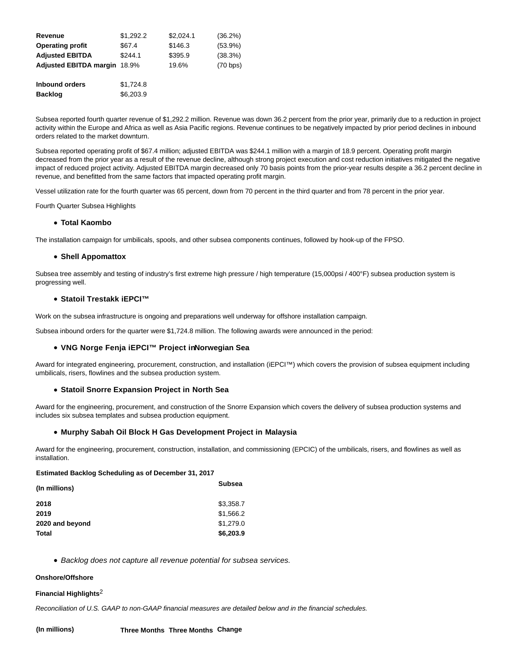| Revenue                      | \$1,292.2 | \$2,024.1 | (36.2%)    |
|------------------------------|-----------|-----------|------------|
| <b>Operating profit</b>      | \$67.4    | \$146.3   | $(53.9\%)$ |
| <b>Adjusted EBITDA</b>       | \$244.1   | \$395.9   | (38.3%)    |
| Adjusted EBITDA margin 18.9% |           | 19.6%     | (70 bps)   |
| <b>Inbound orders</b>        | \$1,724.8 |           |            |
| <b>Backlog</b>               | \$6,203.9 |           |            |

Subsea reported fourth quarter revenue of \$1,292.2 million. Revenue was down 36.2 percent from the prior year, primarily due to a reduction in project activity within the Europe and Africa as well as Asia Pacific regions. Revenue continues to be negatively impacted by prior period declines in inbound orders related to the market downturn.

Subsea reported operating profit of \$67.4 million; adjusted EBITDA was \$244.1 million with a margin of 18.9 percent. Operating profit margin decreased from the prior year as a result of the revenue decline, although strong project execution and cost reduction initiatives mitigated the negative impact of reduced project activity. Adjusted EBITDA margin decreased only 70 basis points from the prior-year results despite a 36.2 percent decline in revenue, and benefitted from the same factors that impacted operating profit margin.

Vessel utilization rate for the fourth quarter was 65 percent, down from 70 percent in the third quarter and from 78 percent in the prior year.

Fourth Quarter Subsea Highlights

#### **Total Kaombo**

The installation campaign for umbilicals, spools, and other subsea components continues, followed by hook-up of the FPSO.

#### **Shell Appomattox**

Subsea tree assembly and testing of industry's first extreme high pressure / high temperature (15,000psi / 400°F) subsea production system is progressing well.

#### **Statoil Trestakk iEPCI™**

Work on the subsea infrastructure is ongoing and preparations well underway for offshore installation campaign.

Subsea inbound orders for the quarter were \$1,724.8 million. The following awards were announced in the period:

### **VNG Norge Fenja iEPCI™ Project in Norwegian Sea**

Award for integrated engineering, procurement, construction, and installation (iEPCI™) which covers the provision of subsea equipment including umbilicals, risers, flowlines and the subsea production system.

#### **Statoil Snorre Expansion Project in North Sea**

Award for the engineering, procurement, and construction of the Snorre Expansion which covers the delivery of subsea production systems and includes six subsea templates and subsea production equipment.

#### **Murphy Sabah Oil Block H Gas Development Project in Malaysia**

Award for the engineering, procurement, construction, installation, and commissioning (EPCIC) of the umbilicals, risers, and flowlines as well as installation.

#### **Estimated Backlog Scheduling as of December 31, 2017**

| (In millions)   | <b>Subsea</b> |
|-----------------|---------------|
| 2018            | \$3,358.7     |
| 2019            | \$1,566.2     |
| 2020 and beyond | \$1.279.0     |
| Total           | \$6,203.9     |

• Backlog does not capture all revenue potential for subsea services.

#### **Onshore/Offshore**

#### **Financial Highlights**2

Reconciliation of U.S. GAAP to non-GAAP financial measures are detailed below and in the financial schedules.

**(In millions) Three Months Three Months Change**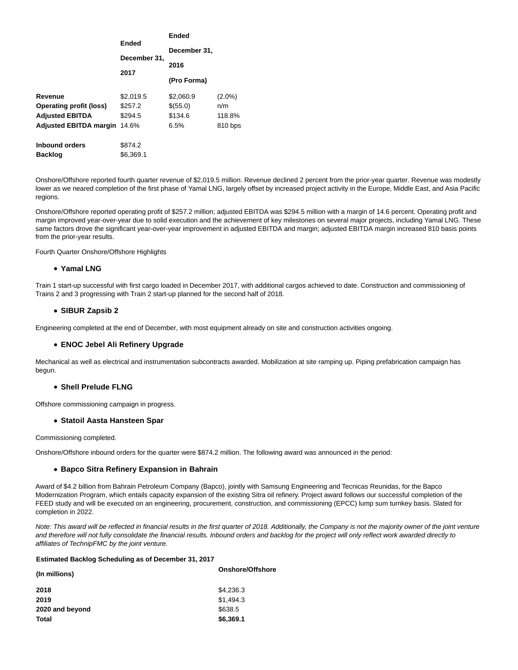|                                | Ended<br>December 31,<br>2017 | <b>Ended</b><br>December 31, |           |  |
|--------------------------------|-------------------------------|------------------------------|-----------|--|
|                                |                               |                              |           |  |
|                                |                               | 2016                         |           |  |
|                                |                               | (Pro Forma)                  |           |  |
| Revenue                        | \$2.019.5                     | \$2,060.9                    | $(2.0\%)$ |  |
| <b>Operating profit (loss)</b> | \$257.2                       | \$(55.0)                     | n/m       |  |
| <b>Adjusted EBITDA</b>         | \$294.5                       | \$134.6                      | 118.8%    |  |
| <b>Adjusted EBITDA margin</b>  | 14.6%                         | 6.5%                         | 810 bps   |  |
| <b>Inbound orders</b>          | \$874.2                       |                              |           |  |
| <b>Backlog</b>                 | \$6.369.1                     |                              |           |  |

Onshore/Offshore reported fourth quarter revenue of \$2,019.5 million. Revenue declined 2 percent from the prior-year quarter. Revenue was modestly lower as we neared completion of the first phase of Yamal LNG, largely offset by increased project activity in the Europe, Middle East, and Asia Pacific regions.

Onshore/Offshore reported operating profit of \$257.2 million; adjusted EBITDA was \$294.5 million with a margin of 14.6 percent. Operating profit and margin improved year-over-year due to solid execution and the achievement of key milestones on several major projects, including Yamal LNG. These same factors drove the significant year-over-year improvement in adjusted EBITDA and margin; adjusted EBITDA margin increased 810 basis points from the prior-year results.

Fourth Quarter Onshore/Offshore Highlights

#### **Yamal LNG**

Train 1 start-up successful with first cargo loaded in December 2017, with additional cargos achieved to date. Construction and commissioning of Trains 2 and 3 progressing with Train 2 start-up planned for the second half of 2018.

#### **SIBUR Zapsib 2**

Engineering completed at the end of December, with most equipment already on site and construction activities ongoing.

### **ENOC Jebel Ali Refinery Upgrade**

Mechanical as well as electrical and instrumentation subcontracts awarded. Mobilization at site ramping up. Piping prefabrication campaign has begun.

#### **Shell Prelude FLNG**

Offshore commissioning campaign in progress.

#### **Statoil Aasta Hansteen Spar**

Commissioning completed.

Onshore/Offshore inbound orders for the quarter were \$874.2 million. The following award was announced in the period:

#### **Bapco Sitra Refinery Expansion in Bahrain**

Award of \$4.2 billion from Bahrain Petroleum Company (Bapco), jointly with Samsung Engineering and Tecnicas Reunidas, for the Bapco Modernization Program, which entails capacity expansion of the existing Sitra oil refinery. Project award follows our successful completion of the FEED study and will be executed on an engineering, procurement, construction, and commissioning (EPCC) lump sum turnkey basis. Slated for completion in 2022.

Note: This award will be reflected in financial results in the first quarter of 2018. Additionally, the Company is not the majority owner of the joint venture and therefore will not fully consolidate the financial results. Inbound orders and backlog for the project will only reflect work awarded directly to affiliates of TechnipFMC by the joint venture.

#### **Estimated Backlog Scheduling as of December 31, 2017**

| (In millions)   | Onshore/Offshore |
|-----------------|------------------|
| 2018            | \$4,236.3        |
| 2019            | \$1,494.3        |
| 2020 and beyond | \$638.5          |
| <b>Total</b>    | \$6,369.1        |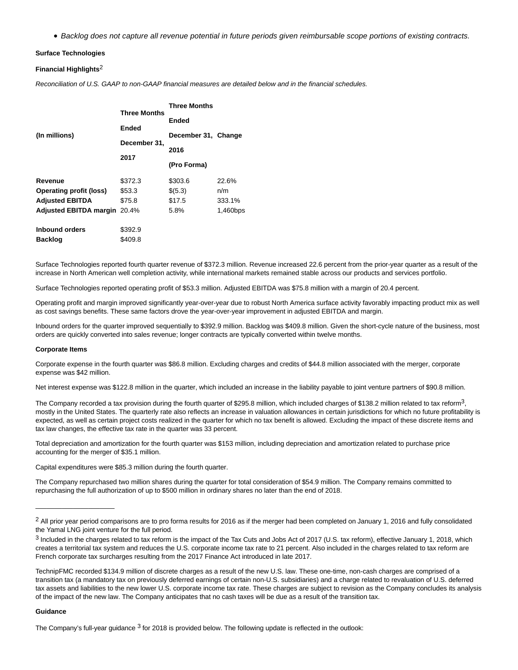Backlog does not capture all revenue potential in future periods given reimbursable scope portions of existing contracts.

#### **Surface Technologies**

#### **Financial Highlights**2

Reconciliation of U.S. GAAP to non-GAAP financial measures are detailed below and in the financial schedules.

|                                     |                     | <b>Three Months</b><br>Ended |          |  |
|-------------------------------------|---------------------|------------------------------|----------|--|
| (In millions)                       | <b>Three Months</b> |                              |          |  |
|                                     | Ended               | December 31, Change          |          |  |
|                                     | December 31,        | 2016                         |          |  |
|                                     | 2017                |                              |          |  |
|                                     |                     | (Pro Forma)                  |          |  |
| Revenue                             | \$372.3             | \$303.6                      | 22.6%    |  |
| <b>Operating profit (loss)</b>      | \$53.3              | \$(5.3)                      | n/m      |  |
| <b>Adjusted EBITDA</b>              | \$75.8              | \$17.5                       | 333.1%   |  |
| <b>Adjusted EBITDA margin 20.4%</b> |                     | 5.8%                         | 1,460bps |  |
| <b>Inbound orders</b>               | \$392.9             |                              |          |  |
| <b>Backlog</b>                      | \$409.8             |                              |          |  |

Surface Technologies reported fourth quarter revenue of \$372.3 million. Revenue increased 22.6 percent from the prior-year quarter as a result of the increase in North American well completion activity, while international markets remained stable across our products and services portfolio.

Surface Technologies reported operating profit of \$53.3 million. Adjusted EBITDA was \$75.8 million with a margin of 20.4 percent.

Operating profit and margin improved significantly year-over-year due to robust North America surface activity favorably impacting product mix as well as cost savings benefits. These same factors drove the year-over-year improvement in adjusted EBITDA and margin.

Inbound orders for the quarter improved sequentially to \$392.9 million. Backlog was \$409.8 million. Given the short-cycle nature of the business, most orders are quickly converted into sales revenue; longer contracts are typically converted within twelve months.

#### **Corporate Items**

 $\_$ 

Corporate expense in the fourth quarter was \$86.8 million. Excluding charges and credits of \$44.8 million associated with the merger, corporate expense was \$42 million.

Net interest expense was \$122.8 million in the quarter, which included an increase in the liability payable to joint venture partners of \$90.8 million.

The Company recorded a tax provision during the fourth quarter of \$295.8 million, which included charges of \$138.2 million related to tax reform<sup>3</sup>, mostly in the United States. The quarterly rate also reflects an increase in valuation allowances in certain jurisdictions for which no future profitability is expected, as well as certain project costs realized in the quarter for which no tax benefit is allowed. Excluding the impact of these discrete items and tax law changes, the effective tax rate in the quarter was 33 percent.

Total depreciation and amortization for the fourth quarter was \$153 million, including depreciation and amortization related to purchase price accounting for the merger of \$35.1 million.

Capital expenditures were \$85.3 million during the fourth quarter.

The Company repurchased two million shares during the quarter for total consideration of \$54.9 million. The Company remains committed to repurchasing the full authorization of up to \$500 million in ordinary shares no later than the end of 2018.

#### **Guidance**

The Company's full-year guidance  $3$  for 2018 is provided below. The following update is reflected in the outlook:

<sup>&</sup>lt;sup>2</sup> All prior year period comparisons are to pro forma results for 2016 as if the merger had been completed on January 1, 2016 and fully consolidated the Yamal LNG joint venture for the full period.

<sup>3</sup> Included in the charges related to tax reform is the impact of the Tax Cuts and Jobs Act of 2017 (U.S. tax reform), effective January 1, 2018, which creates a territorial tax system and reduces the U.S. corporate income tax rate to 21 percent. Also included in the charges related to tax reform are French corporate tax surcharges resulting from the 2017 Finance Act introduced in late 2017.

TechnipFMC recorded \$134.9 million of discrete charges as a result of the new U.S. law. These one-time, non-cash charges are comprised of a transition tax (a mandatory tax on previously deferred earnings of certain non-U.S. subsidiaries) and a charge related to revaluation of U.S. deferred tax assets and liabilities to the new lower U.S. corporate income tax rate. These charges are subject to revision as the Company concludes its analysis of the impact of the new law. The Company anticipates that no cash taxes will be due as a result of the transition tax.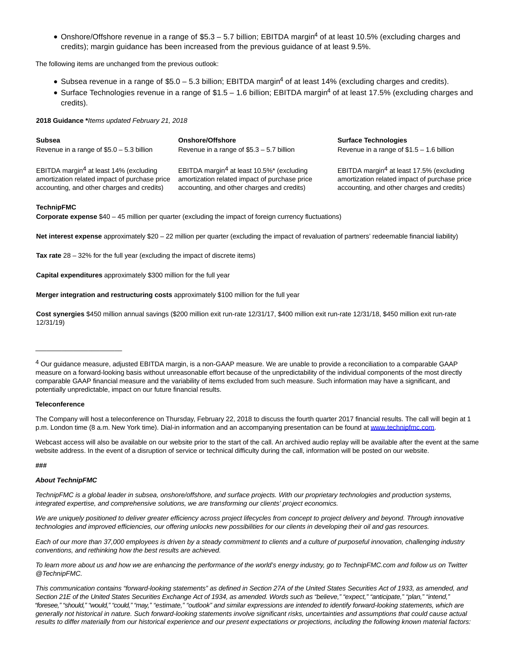Onshore/Offshore revenue in a range of \$5.3 – 5.7 billion; EBITDA margin<sup>4</sup> of at least 10.5% (excluding charges and credits); margin guidance has been increased from the previous guidance of at least 9.5%.

The following items are unchanged from the previous outlook:

- Subsea revenue in a range of \$5.0 5.3 billion; EBITDA margin<sup>4</sup> of at least 14% (excluding charges and credits).
- Surface Technologies revenue in a range of \$1.5 1.6 billion; EBITDA margin<sup>4</sup> of at least 17.5% (excluding charges and credits).

**2018 Guidance \***Items updated February 21, 2018

| <b>Subsea</b>                                      | Onshore/Offshore                                      | <b>Surface Technologies</b>                          |
|----------------------------------------------------|-------------------------------------------------------|------------------------------------------------------|
| Revenue in a range of $$5.0 - 5.3$ billion         | Revenue in a range of $$5.3 - 5.7$ billion            | Revenue in a range of $$1.5 - 1.6$ billion           |
| EBITDA margin <sup>4</sup> at least 14% (excluding | EBITDA margin <sup>4</sup> at least 10.5%* (excluding | EBITDA margin <sup>4</sup> at least 17.5% (excluding |
| amortization related impact of purchase price      | amortization related impact of purchase price         | amortization related impact of purchase price        |
| accounting, and other charges and credits)         | accounting, and other charges and credits)            | accounting, and other charges and credits)           |

#### **TechnipFMC**

**Corporate expense** \$40 – 45 million per quarter (excluding the impact of foreign currency fluctuations)

Net interest expense approximately \$20 – 22 million per quarter (excluding the impact of revaluation of partners' redeemable financial liability)

**Tax rate** 28 – 32% for the full year (excluding the impact of discrete items)

**Capital expenditures** approximately \$300 million for the full year

**Merger integration and restructuring costs** approximately \$100 million for the full year

**Cost synergies** \$450 million annual savings (\$200 million exit run-rate 12/31/17, \$400 million exit run-rate 12/31/18, \$450 million exit run-rate 12/31/19)

#### **Teleconference**

\_\_\_\_\_\_\_\_\_\_\_\_\_\_\_\_\_\_\_\_\_\_\_

The Company will host a teleconference on Thursday, February 22, 2018 to discuss the fourth quarter 2017 financial results. The call will begin at 1 p.m. London time (8 a.m. New York time). Dial-in information and an accompanying presentation can be found a[t www.technipfmc.com.](http://cts.businesswire.com/ct/CT?id=smartlink&url=http%3A%2F%2Finvestors.technipfmc.com&esheet=51762192&newsitemid=20180221006317&lan=en-US&anchor=www.technipfmc.com&index=1&md5=1246f39884b98067806a7e6921842bb9)

Webcast access will also be available on our website prior to the start of the call. An archived audio replay will be available after the event at the same website address. In the event of a disruption of service or technical difficulty during the call, information will be posted on our website.

#### **###**

#### **About TechnipFMC**

TechnipFMC is a global leader in subsea, onshore/offshore, and surface projects. With our proprietary technologies and production systems, integrated expertise, and comprehensive solutions, we are transforming our clients' project economics.

We are uniquely positioned to deliver greater efficiency across project lifecycles from concept to project delivery and beyond. Through innovative technologies and improved efficiencies, our offering unlocks new possibilities for our clients in developing their oil and gas resources.

Each of our more than 37,000 employees is driven by a steady commitment to clients and a culture of purposeful innovation, challenging industry conventions, and rethinking how the best results are achieved.

To learn more about us and how we are enhancing the performance of the world's energy industry, go to TechnipFMC.com and follow us on Twitter @TechnipFMC.

<sup>4</sup> Our guidance measure, adjusted EBITDA margin, is a non-GAAP measure. We are unable to provide a reconciliation to a comparable GAAP measure on a forward-looking basis without unreasonable effort because of the unpredictability of the individual components of the most directly comparable GAAP financial measure and the variability of items excluded from such measure. Such information may have a significant, and potentially unpredictable, impact on our future financial results.

This communication contains "forward-looking statements" as defined in Section 27A of the United States Securities Act of 1933, as amended, and Section 21E of the United States Securities Exchange Act of 1934, as amended. Words such as "believe," "expect," "anticipate," "plan," "intend," "foresee," "should," "would," "could," "may," "estimate," "outlook" and similar expressions are intended to identify forward-looking statements, which are generally not historical in nature. Such forward-looking statements involve significant risks, uncertainties and assumptions that could cause actual results to differ materially from our historical experience and our present expectations or projections, including the following known material factors: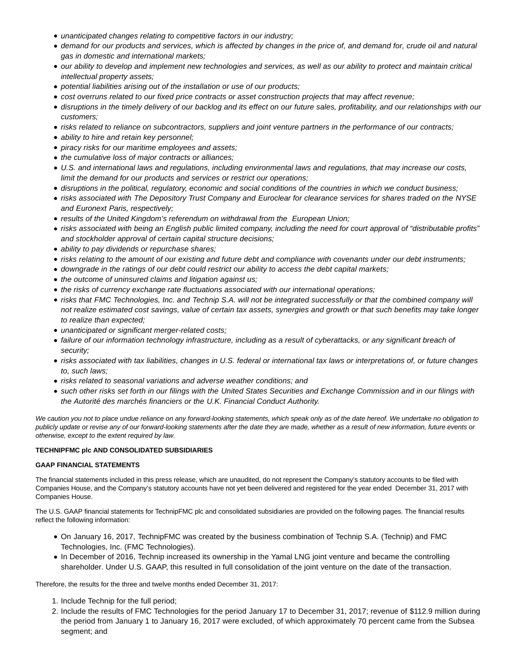- unanticipated changes relating to competitive factors in our industry;
- demand for our products and services, which is affected by changes in the price of, and demand for, crude oil and natural gas in domestic and international markets;
- our ability to develop and implement new technologies and services, as well as our ability to protect and maintain critical intellectual property assets;
- potential liabilities arising out of the installation or use of our products;
- cost overruns related to our fixed price contracts or asset construction projects that may affect revenue;
- disruptions in the timely delivery of our backlog and its effect on our future sales, profitability, and our relationships with our customers;
- risks related to reliance on subcontractors, suppliers and joint venture partners in the performance of our contracts;
- ability to hire and retain key personnel;
- piracy risks for our maritime employees and assets;
- the cumulative loss of major contracts or alliances;
- U.S. and international laws and regulations, including environmental laws and regulations, that may increase our costs, limit the demand for our products and services or restrict our operations;
- disruptions in the political, regulatory, economic and social conditions of the countries in which we conduct business;
- risks associated with The Depository Trust Company and Euroclear for clearance services for shares traded on the NYSE and Euronext Paris, respectively;
- results of the United Kingdom's referendum on withdrawal from the European Union;
- risks associated with being an English public limited company, including the need for court approval of "distributable profits" and stockholder approval of certain capital structure decisions;
- ability to pay dividends or repurchase shares;
- risks relating to the amount of our existing and future debt and compliance with covenants under our debt instruments;
- downgrade in the ratings of our debt could restrict our ability to access the debt capital markets;
- the outcome of uninsured claims and litigation against us;
- the risks of currency exchange rate fluctuations associated with our international operations;
- risks that FMC Technologies, Inc. and Technip S.A. will not be integrated successfully or that the combined company will not realize estimated cost savings, value of certain tax assets, synergies and growth or that such benefits may take longer to realize than expected;
- unanticipated or significant merger-related costs;
- failure of our information technology infrastructure, including as a result of cyberattacks, or any significant breach of security;
- risks associated with tax liabilities, changes in U.S. federal or international tax laws or interpretations of, or future changes to, such laws;
- risks related to seasonal variations and adverse weather conditions; and
- such other risks set forth in our filings with the United States Securities and Exchange Commission and in our filings with the Autorité des marchés financiers or the U.K. Financial Conduct Authority.

We caution you not to place undue reliance on any forward-looking statements, which speak only as of the date hereof. We undertake no obligation to publicly update or revise any of our forward-looking statements after the date they are made, whether as a result of new information, future events or otherwise, except to the extent required by law.

#### **TECHNIPFMC plc AND CONSOLIDATED SUBSIDIARIES**

#### **GAAP FINANCIAL STATEMENTS**

The financial statements included in this press release, which are unaudited, do not represent the Company's statutory accounts to be filed with Companies House, and the Company's statutory accounts have not yet been delivered and registered for the year ended December 31, 2017 with Companies House.

The U.S. GAAP financial statements for TechnipFMC plc and consolidated subsidiaries are provided on the following pages. The financial results reflect the following information:

- On January 16, 2017, TechnipFMC was created by the business combination of Technip S.A. (Technip) and FMC Technologies, Inc. (FMC Technologies).
- In December of 2016, Technip increased its ownership in the Yamal LNG joint venture and became the controlling shareholder. Under U.S. GAAP, this resulted in full consolidation of the joint venture on the date of the transaction.

Therefore, the results for the three and twelve months ended December 31, 2017:

- 1. Include Technip for the full period;
- 2. Include the results of FMC Technologies for the period January 17 to December 31, 2017; revenue of \$112.9 million during the period from January 1 to January 16, 2017 were excluded, of which approximately 70 percent came from the Subsea segment; and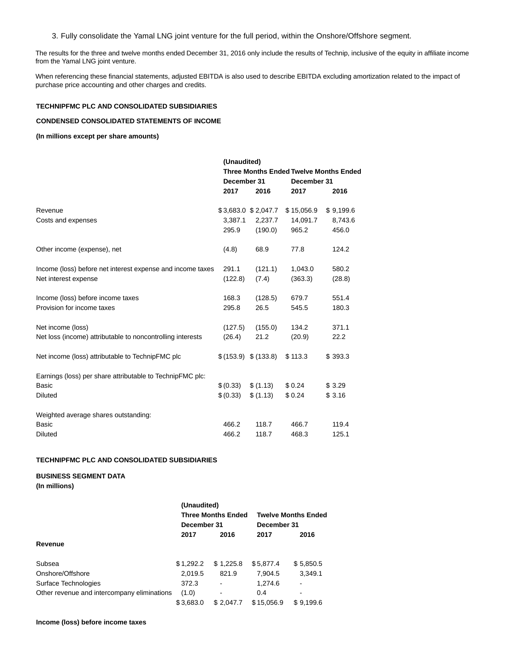3. Fully consolidate the Yamal LNG joint venture for the full period, within the Onshore/Offshore segment.

The results for the three and twelve months ended December 31, 2016 only include the results of Technip, inclusive of the equity in affiliate income from the Yamal LNG joint venture.

When referencing these financial statements, adjusted EBITDA is also used to describe EBITDA excluding amortization related to the impact of purchase price accounting and other charges and credits.

#### **TECHNIPFMC PLC AND CONSOLIDATED SUBSIDIARIES**

### **CONDENSED CONSOLIDATED STATEMENTS OF INCOME**

**(In millions except per share amounts)**

|                                                            | (Unaudited)                                   |                       |            |             |  |
|------------------------------------------------------------|-----------------------------------------------|-----------------------|------------|-------------|--|
|                                                            | <b>Three Months Ended Twelve Months Ended</b> |                       |            |             |  |
|                                                            | December 31                                   |                       |            | December 31 |  |
|                                                            | 2017                                          | 2016                  | 2017       | 2016        |  |
| Revenue                                                    |                                               | \$3,683.0 \$2,047.7   | \$15,056.9 | \$9,199.6   |  |
| Costs and expenses                                         | 3,387.1                                       | 2,237.7               | 14,091.7   | 8,743.6     |  |
|                                                            | 295.9                                         | (190.0)               | 965.2      | 456.0       |  |
| Other income (expense), net                                | (4.8)                                         | 68.9                  | 77.8       | 124.2       |  |
| Income (loss) before net interest expense and income taxes | 291.1                                         | (121.1)               | 1,043.0    | 580.2       |  |
| Net interest expense                                       | (122.8)                                       | (7.4)                 | (363.3)    | (28.8)      |  |
| Income (loss) before income taxes                          | 168.3                                         | (128.5)               | 679.7      | 551.4       |  |
| Provision for income taxes                                 | 295.8                                         | 26.5                  | 545.5      | 180.3       |  |
| Net income (loss)                                          | (127.5)                                       | (155.0)               | 134.2      | 371.1       |  |
| Net loss (income) attributable to noncontrolling interests | (26.4)                                        | 21.2                  | (20.9)     | 22.2        |  |
| Net income (loss) attributable to TechnipFMC plc           |                                               | \$ (153.9) \$ (133.8) | \$113.3    | \$393.3     |  |
| Earnings (loss) per share attributable to TechnipFMC plc:  |                                               |                       |            |             |  |
| <b>Basic</b>                                               | \$(0.33)                                      | \$(1.13)              | \$0.24     | \$3.29      |  |
| <b>Diluted</b>                                             | \$(0.33)                                      | \$(1.13)              | \$0.24     | \$3.16      |  |
| Weighted average shares outstanding:                       |                                               |                       |            |             |  |
| <b>Basic</b>                                               | 466.2                                         | 118.7                 | 466.7      | 119.4       |  |
| <b>Diluted</b>                                             | 466.2                                         | 118.7                 | 468.3      | 125.1       |  |

#### **TECHNIPFMC PLC AND CONSOLIDATED SUBSIDIARIES**

**BUSINESS SEGMENT DATA**

**(In millions)**

|                                             | (Unaudited) |                           |             |                            |
|---------------------------------------------|-------------|---------------------------|-------------|----------------------------|
|                                             |             | <b>Three Months Ended</b> |             | <b>Twelve Months Ended</b> |
|                                             | December 31 |                           | December 31 |                            |
|                                             | 2017        | 2016                      | 2017        | 2016                       |
| Revenue                                     |             |                           |             |                            |
| Subsea                                      | \$1,292.2   | \$1.225.8                 | \$5,877.4   | \$5,850.5                  |
| Onshore/Offshore                            | 2.019.5     | 821.9                     | 7,904.5     | 3,349.1                    |
| Surface Technologies                        | 372.3       |                           | 1,274.6     | ۰                          |
| Other revenue and intercompany eliminations | (1.0)       | ۰                         | 0.4         | $\blacksquare$             |
|                                             | \$3,683.0   | \$2,047.7                 | \$15,056.9  | \$9,199.6                  |

#### **Income (loss) before income taxes**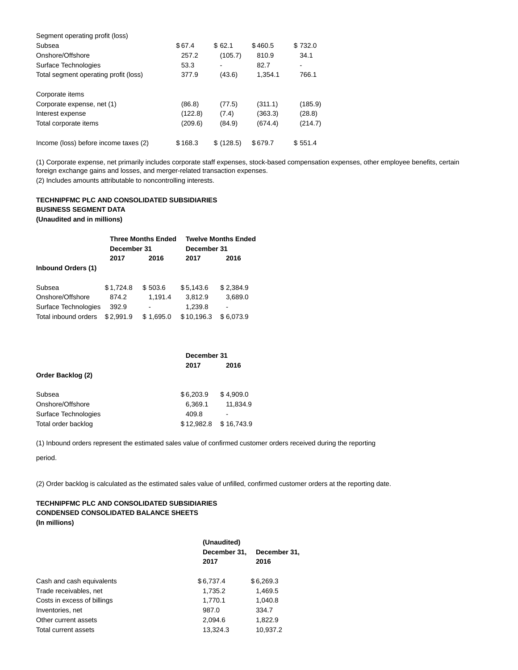| Segment operating profit (loss)       |         |           |         |         |
|---------------------------------------|---------|-----------|---------|---------|
| Subsea                                | \$67.4  | \$62.1    | \$460.5 | \$732.0 |
| Onshore/Offshore                      | 257.2   | (105.7)   | 810.9   | 34.1    |
| Surface Technologies                  | 53.3    | ۰         | 82.7    |         |
| Total segment operating profit (loss) | 377.9   | (43.6)    | 1,354.1 | 766.1   |
| Corporate items                       |         |           |         |         |
| Corporate expense, net (1)            | (86.8)  | (77.5)    | (311.1) | (185.9) |
| Interest expense                      | (122.8) | (7.4)     | (363.3) | (28.8)  |
| Total corporate items                 | (209.6) | (84.9)    | (674.4) | (214.7) |
| Income (loss) before income taxes (2) | \$168.3 | \$(128.5) | \$679.7 | \$551.4 |

(1) Corporate expense, net primarily includes corporate staff expenses, stock-based compensation expenses, other employee benefits, certain foreign exchange gains and losses, and merger-related transaction expenses. (2) Includes amounts attributable to noncontrolling interests.

# **TECHNIPFMC PLC AND CONSOLIDATED SUBSIDIARIES BUSINESS SEGMENT DATA**

### **(Unaudited and in millions)**

|                           | <b>Three Months Ended</b><br>December 31 |           | <b>Twelve Months Ended</b> |           |
|---------------------------|------------------------------------------|-----------|----------------------------|-----------|
|                           |                                          |           | December 31                |           |
|                           | 2017                                     | 2016      | 2017                       | 2016      |
| <b>Inbound Orders (1)</b> |                                          |           |                            |           |
| Subsea                    | \$1,724.8                                | \$503.6   | \$5,143.6                  | \$2,384.9 |
| Onshore/Offshore          | 874.2                                    | 1,191.4   | 3,812.9                    | 3,689.0   |
| Surface Technologies      | 392.9                                    |           | 1,239.8                    |           |
| Total inbound orders      | \$2.991.9                                | \$1.695.0 | \$10,196.3                 | \$6,073.9 |

|                      | December 31 |            |  |  |  |
|----------------------|-------------|------------|--|--|--|
|                      | 2017        | 2016       |  |  |  |
| Order Backlog (2)    |             |            |  |  |  |
| Subsea               | \$6.203.9   | \$4,909.0  |  |  |  |
| Onshore/Offshore     | 6,369.1     | 11.834.9   |  |  |  |
| Surface Technologies | 409.8       |            |  |  |  |
| Total order backlog  | \$12.982.8  | \$16.743.9 |  |  |  |

(1) Inbound orders represent the estimated sales value of confirmed customer orders received during the reporting

period.

(2) Order backlog is calculated as the estimated sales value of unfilled, confirmed customer orders at the reporting date.

### **TECHNIPFMC PLC AND CONSOLIDATED SUBSIDIARIES CONDENSED CONSOLIDATED BALANCE SHEETS (In millions)**

|                             | (Unaudited)  |              |  |
|-----------------------------|--------------|--------------|--|
|                             | December 31, | December 31, |  |
|                             | 2017         | 2016         |  |
| Cash and cash equivalents   | \$6,737.4    | \$6,269.3    |  |
| Trade receivables, net      | 1,735.2      | 1,469.5      |  |
| Costs in excess of billings | 1,770.1      | 1,040.8      |  |
| Inventories, net            | 987.0        | 334.7        |  |
| Other current assets        | 2,094.6      | 1,822.9      |  |
| Total current assets        | 13.324.3     | 10.937.2     |  |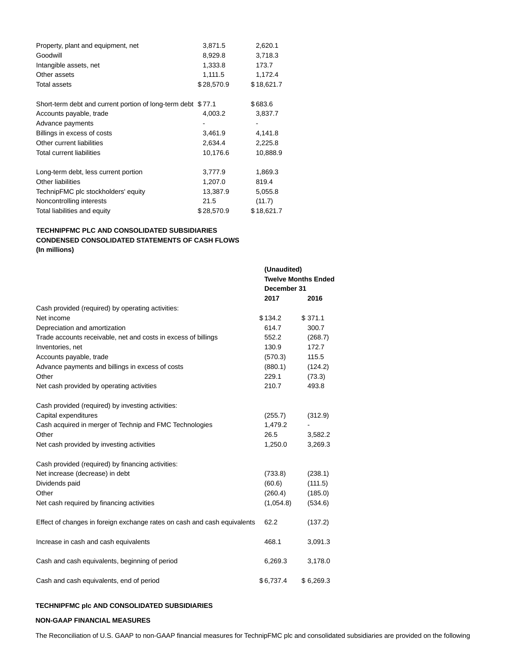| Property, plant and equipment, net                           | 3,871.5    | 2,620.1    |
|--------------------------------------------------------------|------------|------------|
| Goodwill                                                     | 8,929.8    | 3,718.3    |
| Intangible assets, net                                       | 1,333.8    | 173.7      |
| Other assets                                                 | 1,111.5    | 1,172.4    |
| Total assets                                                 | \$28,570.9 | \$18,621.7 |
| Short-term debt and current portion of long-term debt \$77.1 |            | \$683.6    |
| Accounts payable, trade                                      | 4,003.2    | 3,837.7    |
| Advance payments                                             |            |            |
| Billings in excess of costs                                  | 3,461.9    | 4,141.8    |
| Other current liabilities                                    | 2,634.4    | 2,225.8    |
| <b>Total current liabilities</b>                             | 10,176.6   | 10,888.9   |
| Long-term debt, less current portion                         | 3,777.9    | 1,869.3    |
| Other liabilities                                            | 1,207.0    | 819.4      |
| TechnipFMC plc stockholders' equity                          | 13,387.9   | 5,055.8    |
| Noncontrolling interests                                     | 21.5       | (11.7)     |
| Total liabilities and equity                                 | \$28,570.9 | \$18,621.7 |

### **TECHNIPFMC PLC AND CONSOLIDATED SUBSIDIARIES CONDENSED CONSOLIDATED STATEMENTS OF CASH FLOWS (In millions)**

|                                                                          | (Unaudited)<br>December 31 | <b>Twelve Months Ended</b> |
|--------------------------------------------------------------------------|----------------------------|----------------------------|
|                                                                          | 2017                       | 2016                       |
| Cash provided (required) by operating activities:                        |                            |                            |
| Net income                                                               | \$134.2                    | \$371.1                    |
| Depreciation and amortization                                            | 614.7                      | 300.7                      |
| Trade accounts receivable, net and costs in excess of billings           | 552.2                      | (268.7)                    |
| Inventories, net                                                         | 130.9                      | 172.7                      |
| Accounts payable, trade                                                  | (570.3)                    | 115.5                      |
| Advance payments and billings in excess of costs                         | (880.1)                    | (124.2)                    |
| Other                                                                    | 229.1                      | (73.3)                     |
| Net cash provided by operating activities                                | 210.7                      | 493.8                      |
| Cash provided (required) by investing activities:                        |                            |                            |
| Capital expenditures                                                     | (255.7)                    | (312.9)                    |
| Cash acquired in merger of Technip and FMC Technologies                  | 1,479.2                    |                            |
| Other                                                                    | 26.5                       | 3,582.2                    |
| Net cash provided by investing activities                                | 1,250.0                    | 3,269.3                    |
| Cash provided (required) by financing activities:                        |                            |                            |
| Net increase (decrease) in debt                                          | (733.8)                    | (238.1)                    |
| Dividends paid                                                           | (60.6)                     | (111.5)                    |
| Other                                                                    | (260.4)                    | (185.0)                    |
| Net cash required by financing activities                                | (1,054.8)                  | (534.6)                    |
| Effect of changes in foreign exchange rates on cash and cash equivalents | 62.2                       | (137.2)                    |
| Increase in cash and cash equivalents                                    | 468.1                      | 3,091.3                    |
| Cash and cash equivalents, beginning of period                           | 6,269.3                    | 3,178.0                    |
| Cash and cash equivalents, end of period                                 | \$6,737.4                  | \$6,269.3                  |

### **TECHNIPFMC plc AND CONSOLIDATED SUBSIDIARIES**

#### **NON-GAAP FINANCIAL MEASURES**

The Reconciliation of U.S. GAAP to non-GAAP financial measures for TechnipFMC plc and consolidated subsidiaries are provided on the following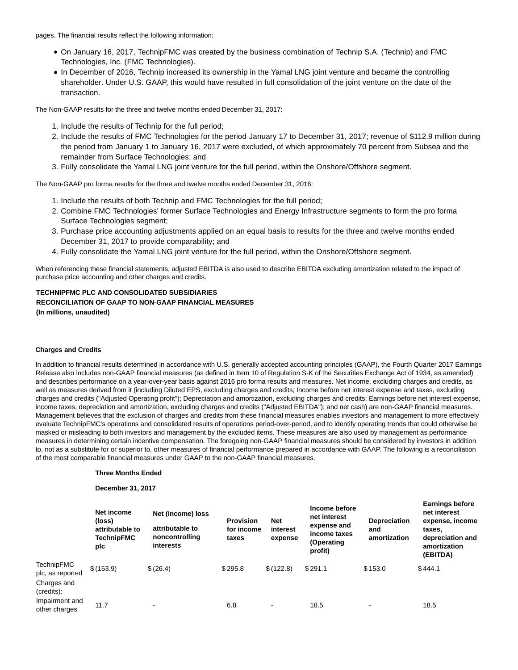pages. The financial results reflect the following information:

- On January 16, 2017, TechnipFMC was created by the business combination of Technip S.A. (Technip) and FMC Technologies, Inc. (FMC Technologies).
- In December of 2016, Technip increased its ownership in the Yamal LNG joint venture and became the controlling shareholder. Under U.S. GAAP, this would have resulted in full consolidation of the joint venture on the date of the transaction.

The Non-GAAP results for the three and twelve months ended December 31, 2017:

- 1. Include the results of Technip for the full period;
- 2. Include the results of FMC Technologies for the period January 17 to December 31, 2017; revenue of \$112.9 million during the period from January 1 to January 16, 2017 were excluded, of which approximately 70 percent from Subsea and the remainder from Surface Technologies; and
- 3. Fully consolidate the Yamal LNG joint venture for the full period, within the Onshore/Offshore segment.

The Non-GAAP pro forma results for the three and twelve months ended December 31, 2016:

- 1. Include the results of both Technip and FMC Technologies for the full period;
- 2. Combine FMC Technologies' former Surface Technologies and Energy Infrastructure segments to form the pro forma Surface Technologies segment;
- 3. Purchase price accounting adjustments applied on an equal basis to results for the three and twelve months ended December 31, 2017 to provide comparability; and
- 4. Fully consolidate the Yamal LNG joint venture for the full period, within the Onshore/Offshore segment.

When referencing these financial statements, adjusted EBITDA is also used to describe EBITDA excluding amortization related to the impact of purchase price accounting and other charges and credits.

# **TECHNIPFMC PLC AND CONSOLIDATED SUBSIDIARIES RECONCILIATION OF GAAP TO NON-GAAP FINANCIAL MEASURES**

**(In millions, unaudited)**

#### **Charges and Credits**

In addition to financial results determined in accordance with U.S. generally accepted accounting principles (GAAP), the Fourth Quarter 2017 Earnings Release also includes non-GAAP financial measures (as defined in Item 10 of Regulation S-K of the Securities Exchange Act of 1934, as amended) and describes performance on a year-over-year basis against 2016 pro forma results and measures. Net income, excluding charges and credits, as well as measures derived from it (including Diluted EPS, excluding charges and credits; Income before net interest expense and taxes, excluding charges and credits ("Adjusted Operating profit"); Depreciation and amortization, excluding charges and credits; Earnings before net interest expense, income taxes, depreciation and amortization, excluding charges and credits ("Adjusted EBITDA"); and net cash) are non-GAAP financial measures. Management believes that the exclusion of charges and credits from these financial measures enables investors and management to more effectively evaluate TechnipFMC's operations and consolidated results of operations period-over-period, and to identify operating trends that could otherwise be masked or misleading to both investors and management by the excluded items. These measures are also used by management as performance measures in determining certain incentive compensation. The foregoing non-GAAP financial measures should be considered by investors in addition to, not as a substitute for or superior to, other measures of financial performance prepared in accordance with GAAP. The following is a reconciliation of the most comparable financial measures under GAAP to the non-GAAP financial measures.

#### **Three Months Ended**

**December 31, 2017**

|                                                                    | Net income<br>(loss)<br>attributable to<br><b>TechnipFMC</b><br>plc | Net (income) loss<br>attributable to<br>noncontrolling<br>interests | <b>Provision</b><br>for income<br>taxes | <b>Net</b><br>interest<br>expense | Income before<br>net interest<br>expense and<br>income taxes<br>(Operating<br>profit) | <b>Depreciation</b><br>and<br>amortization | Lammya vervic<br>net interest<br>expense, income<br>taxes,<br>depreciation and<br>amortization<br>(EBITDA) |
|--------------------------------------------------------------------|---------------------------------------------------------------------|---------------------------------------------------------------------|-----------------------------------------|-----------------------------------|---------------------------------------------------------------------------------------|--------------------------------------------|------------------------------------------------------------------------------------------------------------|
| <b>TechnipFMC</b><br>plc, as reported<br>Charges and<br>(credits): | \$(153.9)                                                           | \$(26.4)                                                            | \$295.8                                 | \$(122.8)                         | \$291.1                                                                               | \$153.0                                    | \$444.1                                                                                                    |
| Impairment and<br>other charges                                    | 11.7                                                                | $\overline{\phantom{0}}$                                            | 6.8                                     | $\,$                              | 18.5                                                                                  | $\,$                                       | 18.5                                                                                                       |

**Earnings before**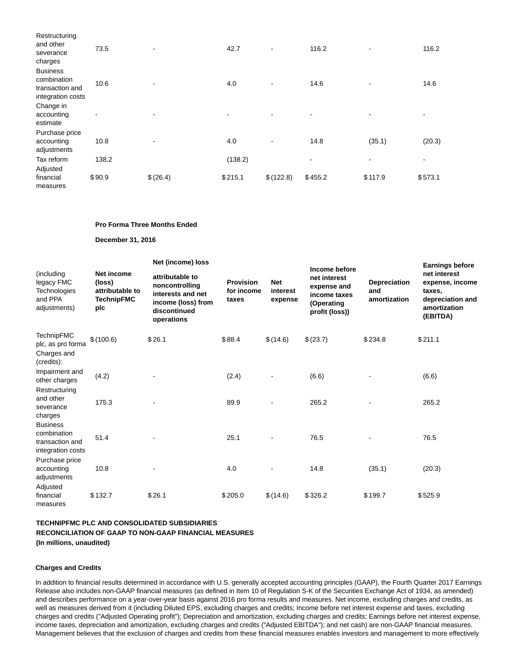| Restructuring<br>and other<br>severance<br>charges                     | 73.5   |          | 42.7    | ٠                        | 116.2   | $\overline{\phantom{a}}$ | 116.2   |
|------------------------------------------------------------------------|--------|----------|---------|--------------------------|---------|--------------------------|---------|
| <b>Business</b><br>combination<br>transaction and<br>integration costs | 10.6   |          | 4.0     | $\overline{\phantom{a}}$ | 14.6    |                          | 14.6    |
| Change in<br>accounting<br>estimate                                    | ٠      |          |         |                          | ٠       |                          |         |
| Purchase price<br>accounting<br>adjustments                            | 10.8   |          | 4.0     |                          | 14.8    | (35.1)                   | (20.3)  |
| Tax reform                                                             | 138.2  |          | (138.2) |                          | ۰       |                          | ۰       |
| Adjusted<br>financial<br>measures                                      | \$90.9 | \$(26.4) | \$215.1 | \$(122.8)                | \$455.2 | \$117.9                  | \$573.1 |

#### **Pro Forma Three Months Ended**

**December 31, 2016**

|                                                                            |                                                                            | Net (income) loss                                                                                          |                                         |                                   |                                                                                              |                                     | <b>Earnings before</b>                                                                    |
|----------------------------------------------------------------------------|----------------------------------------------------------------------------|------------------------------------------------------------------------------------------------------------|-----------------------------------------|-----------------------------------|----------------------------------------------------------------------------------------------|-------------------------------------|-------------------------------------------------------------------------------------------|
| (including<br>legacy FMC<br><b>Technologies</b><br>and PPA<br>adjustments) | <b>Net income</b><br>(loss)<br>attributable to<br><b>TechnipFMC</b><br>plc | attributable to<br>noncontrolling<br>interests and net<br>income (loss) from<br>discontinued<br>operations | <b>Provision</b><br>for income<br>taxes | <b>Net</b><br>interest<br>expense | Income before<br>net interest<br>expense and<br>income taxes<br>(Operating<br>profit (loss)) | Depreciation<br>and<br>amortization | net interest<br>expense, income<br>taxes,<br>depreciation and<br>amortization<br>(EBITDA) |
| <b>TechnipFMC</b><br>plc, as pro forma                                     | \$(100.6)                                                                  | \$26.1                                                                                                     | \$88.4                                  | \$(14.6)                          | \$(23.7)                                                                                     | \$234.8                             | \$211.1                                                                                   |
| Charges and<br>(credits):                                                  |                                                                            |                                                                                                            |                                         |                                   |                                                                                              |                                     |                                                                                           |
| Impairment and<br>other charges                                            | (4.2)                                                                      |                                                                                                            | (2.4)                                   |                                   | (6.6)                                                                                        |                                     | (6.6)                                                                                     |
| Restructuring<br>and other<br>severance<br>charges                         | 175.3                                                                      |                                                                                                            | 89.9                                    |                                   | 265.2                                                                                        |                                     | 265.2                                                                                     |
| <b>Business</b><br>combination<br>transaction and<br>integration costs     | 51.4                                                                       |                                                                                                            | 25.1                                    |                                   | 76.5                                                                                         |                                     | 76.5                                                                                      |
| Purchase price<br>accounting<br>adjustments                                | 10.8                                                                       |                                                                                                            | 4.0                                     |                                   | 14.8                                                                                         | (35.1)                              | (20.3)                                                                                    |
| Adjusted<br>financial<br>measures                                          | \$132.7                                                                    | \$26.1                                                                                                     | \$205.0                                 | \$(14.6)                          | \$326.2                                                                                      | \$199.7                             | \$525.9                                                                                   |

### **TECHNIPFMC PLC AND CONSOLIDATED SUBSIDIARIES RECONCILIATION OF GAAP TO NON-GAAP FINANCIAL MEASURES (In millions, unaudited)**

#### **Charges and Credits**

In addition to financial results determined in accordance with U.S. generally accepted accounting principles (GAAP), the Fourth Quarter 2017 Earnings Release also includes non-GAAP financial measures (as defined in Item 10 of Regulation S-K of the Securities Exchange Act of 1934, as amended) and describes performance on a year-over-year basis against 2016 pro forma results and measures. Net income, excluding charges and credits, as well as measures derived from it (including Diluted EPS, excluding charges and credits; Income before net interest expense and taxes, excluding charges and credits ("Adjusted Operating profit"); Depreciation and amortization, excluding charges and credits; Earnings before net interest expense, income taxes, depreciation and amortization, excluding charges and credits ("Adjusted EBITDA"); and net cash) are non-GAAP financial measures. Management believes that the exclusion of charges and credits from these financial measures enables investors and management to more effectively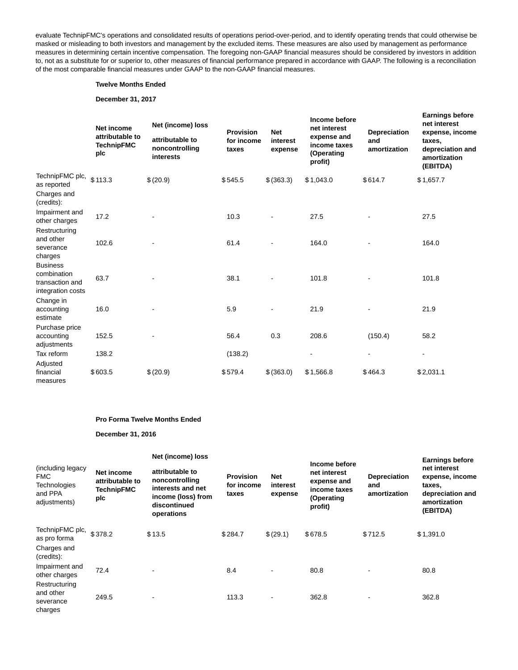evaluate TechnipFMC's operations and consolidated results of operations period-over-period, and to identify operating trends that could otherwise be masked or misleading to both investors and management by the excluded items. These measures are also used by management as performance measures in determining certain incentive compensation. The foregoing non-GAAP financial measures should be considered by investors in addition to, not as a substitute for or superior to, other measures of financial performance prepared in accordance with GAAP. The following is a reconciliation of the most comparable financial measures under GAAP to the non-GAAP financial measures.

#### **Twelve Months Ended**

### **December 31, 2017**

|                                                                        | <b>Net income</b><br>attributable to<br><b>TechnipFMC</b><br>plc | Net (income) loss<br>attributable to<br>noncontrolling<br>interests | <b>Provision</b><br>for income<br>taxes | <b>Net</b><br>interest<br>expense | Income before<br>net interest<br>expense and<br>income taxes<br>(Operating<br>profit) | <b>Depreciation</b><br>and<br>amortization | <b>Earnings before</b><br>net interest<br>expense, income<br>taxes,<br>depreciation and<br>amortization<br>(EBITDA) |
|------------------------------------------------------------------------|------------------------------------------------------------------|---------------------------------------------------------------------|-----------------------------------------|-----------------------------------|---------------------------------------------------------------------------------------|--------------------------------------------|---------------------------------------------------------------------------------------------------------------------|
| TechnipFMC plc,<br>as reported                                         | \$113.3                                                          | \$(20.9)                                                            | \$545.5                                 | \$ (363.3)                        | \$1,043.0                                                                             | \$614.7                                    | \$1,657.7                                                                                                           |
| Charges and<br>(credits):                                              |                                                                  |                                                                     |                                         |                                   |                                                                                       |                                            |                                                                                                                     |
| Impairment and<br>other charges                                        | 17.2                                                             |                                                                     | 10.3                                    |                                   | 27.5                                                                                  |                                            | 27.5                                                                                                                |
| Restructuring<br>and other<br>severance<br>charges                     | 102.6                                                            |                                                                     | 61.4                                    |                                   | 164.0                                                                                 |                                            | 164.0                                                                                                               |
| <b>Business</b><br>combination<br>transaction and<br>integration costs | 63.7                                                             |                                                                     | 38.1                                    |                                   | 101.8                                                                                 |                                            | 101.8                                                                                                               |
| Change in<br>accounting<br>estimate                                    | 16.0                                                             |                                                                     | 5.9                                     |                                   | 21.9                                                                                  |                                            | 21.9                                                                                                                |
| Purchase price<br>accounting<br>adjustments                            | 152.5                                                            |                                                                     | 56.4                                    | 0.3                               | 208.6                                                                                 | (150.4)                                    | 58.2                                                                                                                |
| Tax reform                                                             | 138.2                                                            |                                                                     | (138.2)                                 |                                   | $\blacksquare$                                                                        | $\blacksquare$                             | ٠                                                                                                                   |
| Adjusted<br>financial<br>measures                                      | \$603.5                                                          | \$(20.9)                                                            | \$579.4                                 | \$ (363.0)                        | \$1,566.8                                                                             | \$464.3                                    | \$2,031.1                                                                                                           |

#### **Pro Forma Twelve Months Ended**

#### **December 31, 2016**

|                                                                            |                                                           | Net (income) loss                                                                                          |                                         |                                   |                                                                                       |                                            | <b>Earnings before</b>                                                                    |
|----------------------------------------------------------------------------|-----------------------------------------------------------|------------------------------------------------------------------------------------------------------------|-----------------------------------------|-----------------------------------|---------------------------------------------------------------------------------------|--------------------------------------------|-------------------------------------------------------------------------------------------|
| (including legacy<br><b>FMC</b><br>Technologies<br>and PPA<br>adjustments) | Net income<br>attributable to<br><b>TechnipFMC</b><br>plc | attributable to<br>noncontrolling<br>interests and net<br>income (loss) from<br>discontinued<br>operations | <b>Provision</b><br>for income<br>taxes | <b>Net</b><br>interest<br>expense | Income before<br>net interest<br>expense and<br>income taxes<br>(Operating<br>profit) | <b>Depreciation</b><br>and<br>amortization | net interest<br>expense, income<br>taxes,<br>depreciation and<br>amortization<br>(EBITDA) |
| TechnipFMC plc, \$378.2<br>as pro forma<br>Charges and<br>(credits):       |                                                           | \$13.5                                                                                                     | \$284.7                                 | \$(29.1)                          | \$678.5                                                                               | \$712.5                                    | \$1,391.0                                                                                 |
| Impairment and<br>other charges                                            | 72.4                                                      |                                                                                                            | 8.4                                     |                                   | 80.8                                                                                  | ٠                                          | 80.8                                                                                      |
| Restructuring<br>and other<br>severance<br>charges                         | 249.5                                                     |                                                                                                            | 113.3                                   |                                   | 362.8                                                                                 | ٠                                          | 362.8                                                                                     |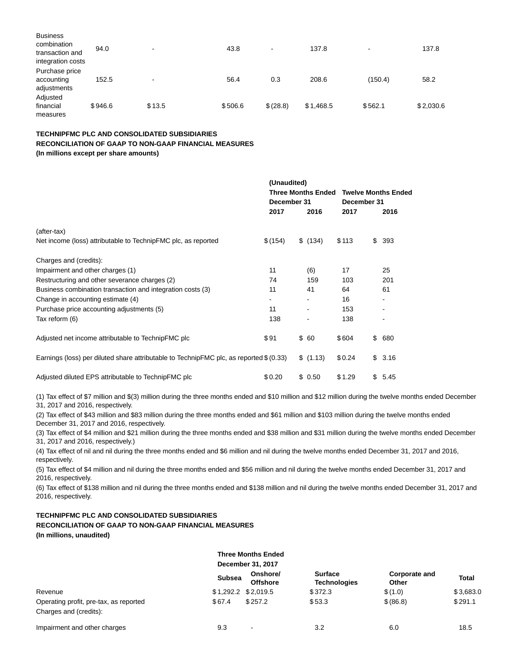| <b>Business</b><br>combination<br>transaction and<br>integration costs | 94.0    | $\blacksquare$ | 43.8    |           | 137.8     |         | 137.8     |
|------------------------------------------------------------------------|---------|----------------|---------|-----------|-----------|---------|-----------|
| Purchase price<br>accounting<br>adjustments                            | 152.5   | $\,$           | 56.4    | 0.3       | 208.6     | (150.4) | 58.2      |
| Adjusted<br>financial<br>measures                                      | \$946.6 | \$13.5         | \$506.6 | \$ (28.8) | \$1,468.5 | \$562.1 | \$2,030.6 |

### **TECHNIPFMC PLC AND CONSOLIDATED SUBSIDIARIES RECONCILIATION OF GAAP TO NON-GAAP FINANCIAL MEASURES (In millions except per share amounts)**

**(Unaudited) Three Months Ended Twelve Months Ended December 31 December 31 2017 2016 2017 2016** (after-tax) Net income (loss) attributable to TechnipFMC plc, as reported  $$(154)$  \$ (134) \$ 113 \$ 393 Charges and (credits): Impairment and other charges (1) 11 (6) 17 25 Restructuring and other severance charges (2)  $\overline{74}$  74 159 103 201 Business combination transaction and integration costs (3) 11 41 64 61 Change in accounting estimate (4)  $\sim$  16 Purchase price accounting adjustments (5) 11 - 153 Tax reform (6) 138 - 138 - 138 - 138 - 138 - 138 - 138 - 138 - 138 - 138 - 138 - 138 - 138 - 138 - 138 - 138 -Adjusted net income attributable to TechnipFMC plc  $$91$  \$ 60 \$ 604 \$ 680 Earnings (loss) per diluted share attributable to TechnipFMC plc, as reported \$ (0.33) \$ (1.13) \$ 0.24 \$ 3.16 Adjusted diluted EPS attributable to TechnipFMC plc  $$0.20$  \$ 0.50 \$1.29 \$ 5.45

(1) Tax effect of \$7 million and \$(3) million during the three months ended and \$10 million and \$12 million during the twelve months ended December 31, 2017 and 2016, respectively.

(2) Tax effect of \$43 million and \$83 million during the three months ended and \$61 million and \$103 million during the twelve months ended December 31, 2017 and 2016, respectively.

(3) Tax effect of \$4 million and \$21 million during the three months ended and \$38 million and \$31 million during the twelve months ended December 31, 2017 and 2016, respectively.)

(4) Tax effect of nil and nil during the three months ended and \$6 million and nil during the twelve months ended December 31, 2017 and 2016, respectively.

(5) Tax effect of \$4 million and nil during the three months ended and \$56 million and nil during the twelve months ended December 31, 2017 and 2016, respectively.

(6) Tax effect of \$138 million and nil during the three months ended and \$138 million and nil during the twelve months ended December 31, 2017 and 2016, respectively.

### **TECHNIPFMC PLC AND CONSOLIDATED SUBSIDIARIES**

### **RECONCILIATION OF GAAP TO NON-GAAP FINANCIAL MEASURES**

**(In millions, unaudited)**

|                                        |                       | <b>Three Months Ended</b>   |                                       |                        |              |
|----------------------------------------|-----------------------|-----------------------------|---------------------------------------|------------------------|--------------|
|                                        |                       | December 31, 2017           |                                       |                        |              |
|                                        | <b>Subsea</b>         | Onshore/<br><b>Offshore</b> | <b>Surface</b><br><b>Technologies</b> | Corporate and<br>Other | <b>Total</b> |
| Revenue                                | $$1,292.2$ $$2,019.5$ |                             | \$372.3                               | \$(1.0)                | \$3,683.0    |
| Operating profit, pre-tax, as reported | \$67.4                | \$257.2                     | \$53.3                                | \$ (86.8)              | \$291.1      |
| Charges and (credits):                 |                       |                             |                                       |                        |              |
| Impairment and other charges           | 9.3                   | ٠                           | 3.2                                   | 6.0                    | 18.5         |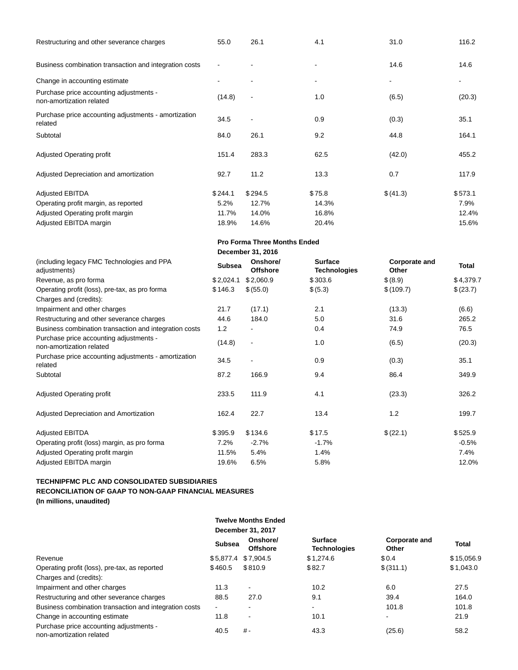| Restructuring and other severance charges                           | 55.0    | 26.1    | 4.1    | 31.0     | 116.2   |
|---------------------------------------------------------------------|---------|---------|--------|----------|---------|
| Business combination transaction and integration costs              |         |         | ۰      | 14.6     | 14.6    |
| Change in accounting estimate                                       |         |         |        | ۰        |         |
| Purchase price accounting adjustments -<br>non-amortization related | (14.8)  |         | 1.0    | (6.5)    | (20.3)  |
| Purchase price accounting adjustments - amortization<br>related     | 34.5    | ٠       | 0.9    | (0.3)    | 35.1    |
| Subtotal                                                            | 84.0    | 26.1    | 9.2    | 44.8     | 164.1   |
| <b>Adjusted Operating profit</b>                                    | 151.4   | 283.3   | 62.5   | (42.0)   | 455.2   |
| Adjusted Depreciation and amortization                              | 92.7    | 11.2    | 13.3   | 0.7      | 117.9   |
| <b>Adjusted EBITDA</b>                                              | \$244.1 | \$294.5 | \$75.8 | \$(41.3) | \$573.1 |
| Operating profit margin, as reported                                | 5.2%    | 12.7%   | 14.3%  |          | 7.9%    |
| Adjusted Operating profit margin                                    | 11.7%   | 14.0%   | 16.8%  |          | 12.4%   |
| Adjusted EBITDA margin                                              | 18.9%   | 14.6%   | 20.4%  |          | 15.6%   |

|                                                                          |               | <b>Pro Forma Three Months Ended</b> |                                       |                               |           |
|--------------------------------------------------------------------------|---------------|-------------------------------------|---------------------------------------|-------------------------------|-----------|
|                                                                          |               | December 31, 2016                   |                                       |                               |           |
| (including legacy FMC Technologies and PPA<br>adjustments)               | <b>Subsea</b> | Onshore/<br><b>Offshore</b>         | <b>Surface</b><br><b>Technologies</b> | <b>Corporate and</b><br>Other | Total     |
| Revenue, as pro forma                                                    | \$2,024.1     | \$2,060.9                           | \$303.6                               | \$(8.9)                       | \$4,379.7 |
| Operating profit (loss), pre-tax, as pro forma<br>Charges and (credits): | \$146.3       | \$ (55.0)                           | \$ (5.3)                              | \$(109.7)                     | \$(23.7)  |
| Impairment and other charges                                             | 21.7          | (17.1)                              | 2.1                                   | (13.3)                        | (6.6)     |
| Restructuring and other severance charges                                | 44.6          | 184.0                               | 5.0                                   | 31.6                          | 265.2     |
| Business combination transaction and integration costs                   | 1.2           |                                     | 0.4                                   | 74.9                          | 76.5      |
| Purchase price accounting adjustments -<br>non-amortization related      | (14.8)        | $\overline{\phantom{a}}$            | 1.0                                   | (6.5)                         | (20.3)    |
| Purchase price accounting adjustments - amortization<br>related          | 34.5          | ٠                                   | 0.9                                   | (0.3)                         | 35.1      |
| Subtotal                                                                 | 87.2          | 166.9                               | 9.4                                   | 86.4                          | 349.9     |
| <b>Adjusted Operating profit</b>                                         | 233.5         | 111.9                               | 4.1                                   | (23.3)                        | 326.2     |
| Adjusted Depreciation and Amortization                                   | 162.4         | 22.7                                | 13.4                                  | 1.2                           | 199.7     |
| <b>Adjusted EBITDA</b>                                                   | \$395.9       | \$134.6                             | \$17.5                                | \$(22.1)                      | \$525.9   |
| Operating profit (loss) margin, as pro forma                             | 7.2%          | $-2.7%$                             | $-1.7%$                               |                               | $-0.5%$   |
| Adjusted Operating profit margin                                         | 11.5%         | 5.4%                                | 1.4%                                  |                               | 7.4%      |
| Adjusted EBITDA margin                                                   | 19.6%         | 6.5%                                | 5.8%                                  |                               | 12.0%     |

### **TECHNIPFMC PLC AND CONSOLIDATED SUBSIDIARIES RECONCILIATION OF GAAP TO NON-GAAP FINANCIAL MEASURES (In millions, unaudited)**

|                                                                     |                | <b>Twelve Months Ended</b>  |                                       |                        |            |
|---------------------------------------------------------------------|----------------|-----------------------------|---------------------------------------|------------------------|------------|
|                                                                     |                | December 31, 2017           |                                       |                        |            |
|                                                                     | <b>Subsea</b>  | Onshore/<br><b>Offshore</b> | <b>Surface</b><br><b>Technologies</b> | Corporate and<br>Other | Total      |
| Revenue                                                             | \$5.877.4      | \$7.904.5                   | \$1.274.6                             | \$0.4                  | \$15,056.9 |
| Operating profit (loss), pre-tax, as reported                       | \$460.5        | \$810.9                     | \$82.7                                | \$ (311.1)             | \$1,043.0  |
| Charges and (credits):                                              |                |                             |                                       |                        |            |
| Impairment and other charges                                        | 11.3           | ۰.                          | 10.2                                  | 6.0                    | 27.5       |
| Restructuring and other severance charges                           | 88.5           | 27.0                        | 9.1                                   | 39.4                   | 164.0      |
| Business combination transaction and integration costs              | $\blacksquare$ | $\overline{\phantom{0}}$    | $\blacksquare$                        | 101.8                  | 101.8      |
| Change in accounting estimate                                       | 11.8           | ۰                           | 10.1                                  | $\blacksquare$         | 21.9       |
| Purchase price accounting adjustments -<br>non-amortization related | 40.5           | $# -$                       | 43.3                                  | (25.6)                 | 58.2       |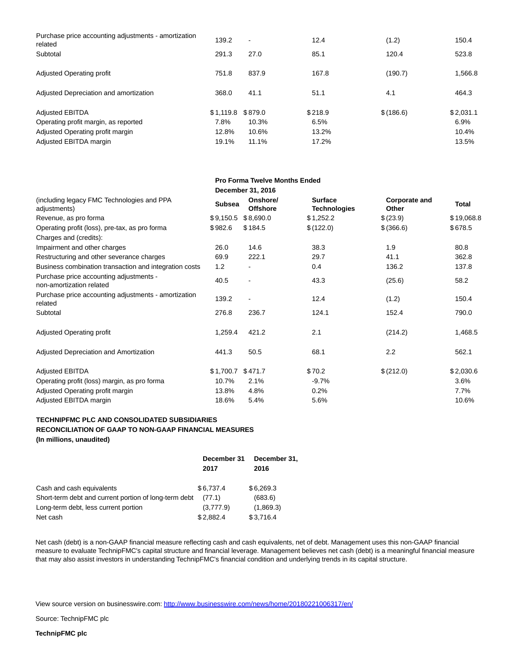| Purchase price accounting adjustments - amortization<br>related<br>Subtotal | 139.2<br>291.3 | $\blacksquare$<br>27.0 | 12.4<br>85.1 | (1.2)<br>120.4 | 150.4<br>523.8 |
|-----------------------------------------------------------------------------|----------------|------------------------|--------------|----------------|----------------|
| Adjusted Operating profit                                                   | 751.8          | 837.9                  | 167.8        | (190.7)        | 1.566.8        |
|                                                                             |                |                        |              |                |                |
| Adjusted Depreciation and amortization                                      | 368.0          | 41.1                   | 51.1         | 4.1            | 464.3          |
| <b>Adjusted EBITDA</b>                                                      | \$1.119.8      | \$879.0                | \$218.9      | \$(186.6)      | \$2,031.1      |
| Operating profit margin, as reported                                        | 7.8%           | 10.3%                  | 6.5%         |                | 6.9%           |
| Adjusted Operating profit margin                                            | 12.8%          | 10.6%                  | 13.2%        |                | 10.4%          |
| Adjusted EBITDA margin                                                      | 19.1%          | 11.1%                  | 17.2%        |                | 13.5%          |

**Pro Forma Twelve Months Ended**

|                                                                     |               | December 31, 2016           |                                       |                        |              |
|---------------------------------------------------------------------|---------------|-----------------------------|---------------------------------------|------------------------|--------------|
| (including legacy FMC Technologies and PPA<br>adjustments)          | <b>Subsea</b> | Onshore/<br><b>Offshore</b> | <b>Surface</b><br><b>Technologies</b> | Corporate and<br>Other | <b>Total</b> |
| Revenue, as pro forma                                               | \$9,150.5     | \$8,690.0                   | \$1,252.2                             | \$(23.9)               | \$19,068.8   |
| Operating profit (loss), pre-tax, as pro forma                      | \$982.6       | \$184.5                     | \$(122.0)                             | \$(366.6)              | \$678.5      |
| Charges and (credits):                                              |               |                             |                                       |                        |              |
| Impairment and other charges                                        | 26.0          | 14.6                        | 38.3                                  | 1.9                    | 80.8         |
| Restructuring and other severance charges                           | 69.9          | 222.1                       | 29.7                                  | 41.1                   | 362.8        |
| Business combination transaction and integration costs              | 1.2           |                             | 0.4                                   | 136.2                  | 137.8        |
| Purchase price accounting adjustments -<br>non-amortization related | 40.5          |                             | 43.3                                  | (25.6)                 | 58.2         |
| Purchase price accounting adjustments - amortization<br>related     | 139.2         |                             | 12.4                                  | (1.2)                  | 150.4        |
| Subtotal                                                            | 276.8         | 236.7                       | 124.1                                 | 152.4                  | 790.0        |
| <b>Adjusted Operating profit</b>                                    | 1,259.4       | 421.2                       | 2.1                                   | (214.2)                | 1,468.5      |
| Adjusted Depreciation and Amortization                              | 441.3         | 50.5                        | 68.1                                  | 2.2                    | 562.1        |
| <b>Adjusted EBITDA</b>                                              | \$1,700.7     | \$471.7                     | \$70.2                                | \$(212.0)              | \$2,030.6    |
| Operating profit (loss) margin, as pro forma                        | 10.7%         | 2.1%                        | $-9.7%$                               |                        | 3.6%         |
| Adjusted Operating profit margin                                    | 13.8%         | 4.8%                        | 0.2%                                  |                        | 7.7%         |
| Adjusted EBITDA margin                                              | 18.6%         | 5.4%                        | 5.6%                                  |                        | 10.6%        |

# **TECHNIPFMC PLC AND CONSOLIDATED SUBSIDIARIES RECONCILIATION OF GAAP TO NON-GAAP FINANCIAL MEASURES**

**(In millions, unaudited)**

|                                                       | December 31 | December 31, |  |
|-------------------------------------------------------|-------------|--------------|--|
|                                                       | 2017        | 2016         |  |
| Cash and cash equivalents                             | \$6.737.4   | \$6,269.3    |  |
| Short-term debt and current portion of long-term debt | (77.1)      | (683.6)      |  |
| Long-term debt, less current portion                  | (3,777.9)   | (1,869.3)    |  |
| Net cash                                              | \$2,882.4   | \$3,716.4    |  |

Net cash (debt) is a non-GAAP financial measure reflecting cash and cash equivalents, net of debt. Management uses this non-GAAP financial measure to evaluate TechnipFMC's capital structure and financial leverage. Management believes net cash (debt) is a meaningful financial measure that may also assist investors in understanding TechnipFMC's financial condition and underlying trends in its capital structure.

View source version on businesswire.com:<http://www.businesswire.com/news/home/20180221006317/en/>

Source: TechnipFMC plc